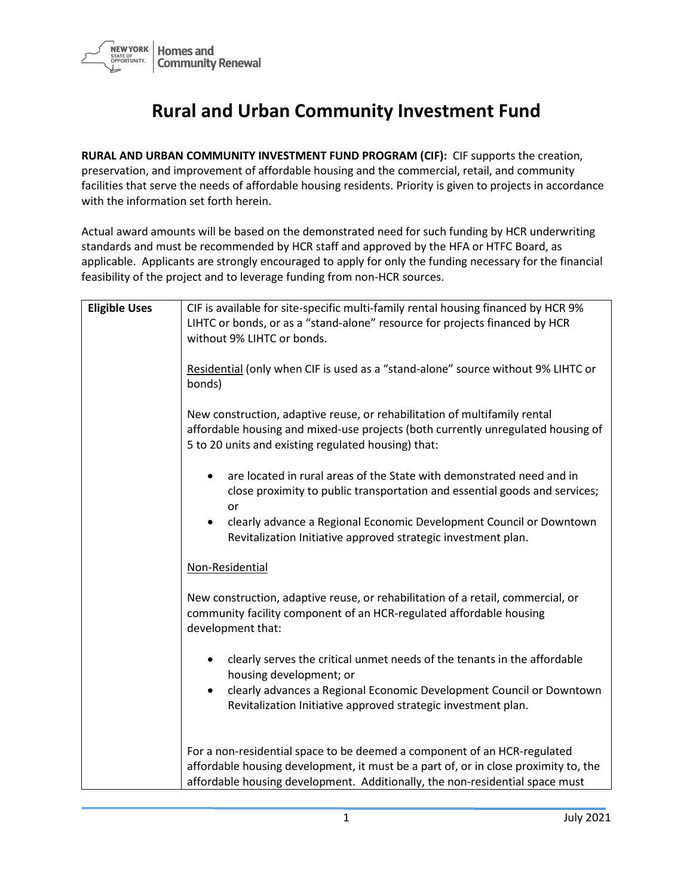

## **Rural and Urban Community Investment Fund**

**RURAL AND URBAN COMMUNITY INVESTMENT FUND PROGRAM (CIF):** CIF supports the creation, preservation, and improvement of affordable housing and the commercial, retail, and community facilities that serve the needs of affordable housing residents. Priority is given to projects in accordance with the information set forth herein.

Actual award amounts will be based on the demonstrated need for such funding by HCR underwriting standards and must be recommended by HCR staff and approved by the HFA or HTFC Board, as applicable. Applicants are strongly encouraged to apply for only the funding necessary for the financial feasibility of the project and to leverage funding from non-HCR sources.

| <b>Eligible Uses</b> | CIF is available for site-specific multi-family rental housing financed by HCR 9%   |
|----------------------|-------------------------------------------------------------------------------------|
|                      | LIHTC or bonds, or as a "stand-alone" resource for projects financed by HCR         |
|                      | without 9% LIHTC or bonds.                                                          |
|                      |                                                                                     |
|                      | Residential (only when CIF is used as a "stand-alone" source without 9% LIHTC or    |
|                      | bonds)                                                                              |
|                      | New construction, adaptive reuse, or rehabilitation of multifamily rental           |
|                      | affordable housing and mixed-use projects (both currently unregulated housing of    |
|                      | 5 to 20 units and existing regulated housing) that:                                 |
|                      |                                                                                     |
|                      | are located in rural areas of the State with demonstrated need and in<br>$\bullet$  |
|                      | close proximity to public transportation and essential goods and services;          |
|                      | or                                                                                  |
|                      | clearly advance a Regional Economic Development Council or Downtown<br>$\bullet$    |
|                      | Revitalization Initiative approved strategic investment plan.                       |
|                      | Non-Residential                                                                     |
|                      |                                                                                     |
|                      | New construction, adaptive reuse, or rehabilitation of a retail, commercial, or     |
|                      | community facility component of an HCR-regulated affordable housing                 |
|                      | development that:                                                                   |
|                      | clearly serves the critical unmet needs of the tenants in the affordable            |
|                      | housing development; or                                                             |
|                      | clearly advances a Regional Economic Development Council or Downtown<br>$\bullet$   |
|                      | Revitalization Initiative approved strategic investment plan.                       |
|                      |                                                                                     |
|                      |                                                                                     |
|                      | For a non-residential space to be deemed a component of an HCR-regulated            |
|                      | affordable housing development, it must be a part of, or in close proximity to, the |
|                      | affordable housing development. Additionally, the non-residential space must        |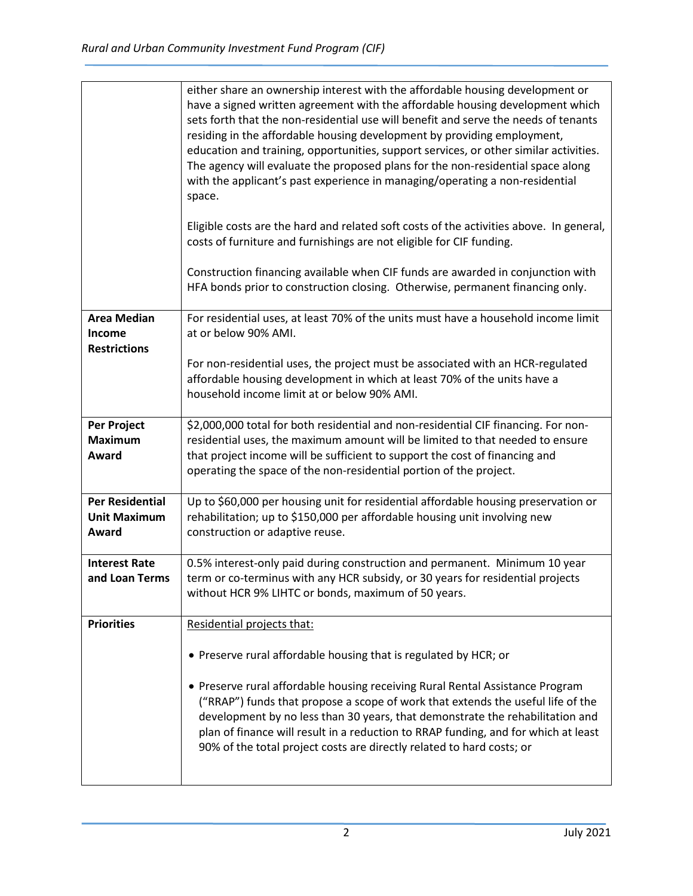|                                                        | either share an ownership interest with the affordable housing development or<br>have a signed written agreement with the affordable housing development which<br>sets forth that the non-residential use will benefit and serve the needs of tenants<br>residing in the affordable housing development by providing employment,<br>education and training, opportunities, support services, or other similar activities.<br>The agency will evaluate the proposed plans for the non-residential space along<br>with the applicant's past experience in managing/operating a non-residential<br>space. |
|--------------------------------------------------------|--------------------------------------------------------------------------------------------------------------------------------------------------------------------------------------------------------------------------------------------------------------------------------------------------------------------------------------------------------------------------------------------------------------------------------------------------------------------------------------------------------------------------------------------------------------------------------------------------------|
|                                                        | Eligible costs are the hard and related soft costs of the activities above. In general,<br>costs of furniture and furnishings are not eligible for CIF funding.                                                                                                                                                                                                                                                                                                                                                                                                                                        |
|                                                        | Construction financing available when CIF funds are awarded in conjunction with<br>HFA bonds prior to construction closing. Otherwise, permanent financing only.                                                                                                                                                                                                                                                                                                                                                                                                                                       |
| <b>Area Median</b><br>Income<br><b>Restrictions</b>    | For residential uses, at least 70% of the units must have a household income limit<br>at or below 90% AMI.                                                                                                                                                                                                                                                                                                                                                                                                                                                                                             |
|                                                        | For non-residential uses, the project must be associated with an HCR-regulated<br>affordable housing development in which at least 70% of the units have a<br>household income limit at or below 90% AMI.                                                                                                                                                                                                                                                                                                                                                                                              |
| <b>Per Project</b><br><b>Maximum</b><br>Award          | \$2,000,000 total for both residential and non-residential CIF financing. For non-<br>residential uses, the maximum amount will be limited to that needed to ensure<br>that project income will be sufficient to support the cost of financing and<br>operating the space of the non-residential portion of the project.                                                                                                                                                                                                                                                                               |
| <b>Per Residential</b><br><b>Unit Maximum</b><br>Award | Up to \$60,000 per housing unit for residential affordable housing preservation or<br>rehabilitation; up to \$150,000 per affordable housing unit involving new<br>construction or adaptive reuse.                                                                                                                                                                                                                                                                                                                                                                                                     |
| <b>Interest Rate</b><br>and Loan Terms                 | 0.5% interest-only paid during construction and permanent. Minimum 10 year<br>term or co-terminus with any HCR subsidy, or 30 years for residential projects<br>without HCR 9% LIHTC or bonds, maximum of 50 years.                                                                                                                                                                                                                                                                                                                                                                                    |
| <b>Priorities</b>                                      | Residential projects that:                                                                                                                                                                                                                                                                                                                                                                                                                                                                                                                                                                             |
|                                                        | • Preserve rural affordable housing that is regulated by HCR; or                                                                                                                                                                                                                                                                                                                                                                                                                                                                                                                                       |
|                                                        | • Preserve rural affordable housing receiving Rural Rental Assistance Program<br>("RRAP") funds that propose a scope of work that extends the useful life of the<br>development by no less than 30 years, that demonstrate the rehabilitation and<br>plan of finance will result in a reduction to RRAP funding, and for which at least<br>90% of the total project costs are directly related to hard costs; or                                                                                                                                                                                       |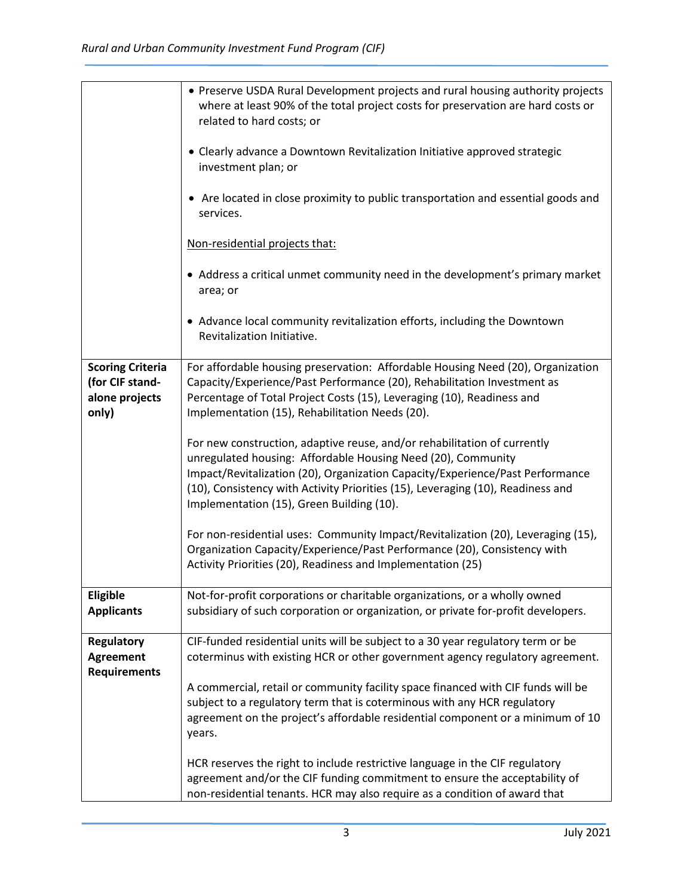|                                                                       | • Preserve USDA Rural Development projects and rural housing authority projects<br>where at least 90% of the total project costs for preservation are hard costs or<br>related to hard costs; or                                                                                                                                                          |
|-----------------------------------------------------------------------|-----------------------------------------------------------------------------------------------------------------------------------------------------------------------------------------------------------------------------------------------------------------------------------------------------------------------------------------------------------|
|                                                                       | • Clearly advance a Downtown Revitalization Initiative approved strategic<br>investment plan; or                                                                                                                                                                                                                                                          |
|                                                                       | • Are located in close proximity to public transportation and essential goods and<br>services.                                                                                                                                                                                                                                                            |
|                                                                       | Non-residential projects that:                                                                                                                                                                                                                                                                                                                            |
|                                                                       | • Address a critical unmet community need in the development's primary market<br>area; or                                                                                                                                                                                                                                                                 |
|                                                                       | • Advance local community revitalization efforts, including the Downtown<br>Revitalization Initiative.                                                                                                                                                                                                                                                    |
| <b>Scoring Criteria</b><br>(for CIF stand-<br>alone projects<br>only) | For affordable housing preservation: Affordable Housing Need (20), Organization<br>Capacity/Experience/Past Performance (20), Rehabilitation Investment as<br>Percentage of Total Project Costs (15), Leveraging (10), Readiness and<br>Implementation (15), Rehabilitation Needs (20).                                                                   |
|                                                                       | For new construction, adaptive reuse, and/or rehabilitation of currently<br>unregulated housing: Affordable Housing Need (20), Community<br>Impact/Revitalization (20), Organization Capacity/Experience/Past Performance<br>(10), Consistency with Activity Priorities (15), Leveraging (10), Readiness and<br>Implementation (15), Green Building (10). |
|                                                                       | For non-residential uses: Community Impact/Revitalization (20), Leveraging (15),<br>Organization Capacity/Experience/Past Performance (20), Consistency with<br>Activity Priorities (20), Readiness and Implementation (25)                                                                                                                               |
| Eligible<br><b>Applicants</b>                                         | Not-for-profit corporations or charitable organizations, or a wholly owned<br>subsidiary of such corporation or organization, or private for-profit developers.                                                                                                                                                                                           |
| <b>Regulatory</b><br><b>Agreement</b><br><b>Requirements</b>          | CIF-funded residential units will be subject to a 30 year regulatory term or be<br>coterminus with existing HCR or other government agency regulatory agreement.                                                                                                                                                                                          |
|                                                                       | A commercial, retail or community facility space financed with CIF funds will be<br>subject to a regulatory term that is coterminous with any HCR regulatory<br>agreement on the project's affordable residential component or a minimum of 10<br>years.                                                                                                  |
|                                                                       | HCR reserves the right to include restrictive language in the CIF regulatory<br>agreement and/or the CIF funding commitment to ensure the acceptability of<br>non-residential tenants. HCR may also require as a condition of award that                                                                                                                  |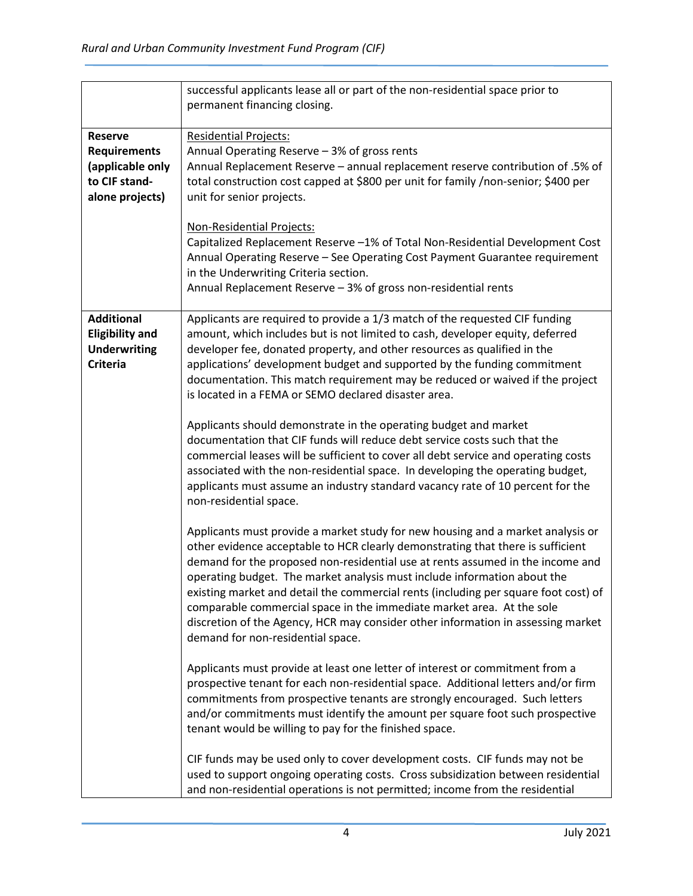|                        | successful applicants lease all or part of the non-residential space prior to       |
|------------------------|-------------------------------------------------------------------------------------|
|                        | permanent financing closing.                                                        |
|                        |                                                                                     |
| <b>Reserve</b>         | <b>Residential Projects:</b>                                                        |
| <b>Requirements</b>    | Annual Operating Reserve - 3% of gross rents                                        |
| (applicable only       | Annual Replacement Reserve - annual replacement reserve contribution of .5% of      |
| to CIF stand-          | total construction cost capped at \$800 per unit for family /non-senior; \$400 per  |
| alone projects)        | unit for senior projects.                                                           |
|                        |                                                                                     |
|                        | Non-Residential Projects:                                                           |
|                        | Capitalized Replacement Reserve -1% of Total Non-Residential Development Cost       |
|                        |                                                                                     |
|                        | Annual Operating Reserve - See Operating Cost Payment Guarantee requirement         |
|                        | in the Underwriting Criteria section.                                               |
|                        | Annual Replacement Reserve - 3% of gross non-residential rents                      |
|                        |                                                                                     |
| <b>Additional</b>      | Applicants are required to provide a 1/3 match of the requested CIF funding         |
| <b>Eligibility and</b> | amount, which includes but is not limited to cash, developer equity, deferred       |
| <b>Underwriting</b>    | developer fee, donated property, and other resources as qualified in the            |
| <b>Criteria</b>        | applications' development budget and supported by the funding commitment            |
|                        | documentation. This match requirement may be reduced or waived if the project       |
|                        | is located in a FEMA or SEMO declared disaster area.                                |
|                        |                                                                                     |
|                        | Applicants should demonstrate in the operating budget and market                    |
|                        | documentation that CIF funds will reduce debt service costs such that the           |
|                        | commercial leases will be sufficient to cover all debt service and operating costs  |
|                        | associated with the non-residential space. In developing the operating budget,      |
|                        | applicants must assume an industry standard vacancy rate of 10 percent for the      |
|                        | non-residential space.                                                              |
|                        |                                                                                     |
|                        | Applicants must provide a market study for new housing and a market analysis or     |
|                        | other evidence acceptable to HCR clearly demonstrating that there is sufficient     |
|                        | demand for the proposed non-residential use at rents assumed in the income and      |
|                        | operating budget. The market analysis must include information about the            |
|                        | existing market and detail the commercial rents (including per square foot cost) of |
|                        |                                                                                     |
|                        | comparable commercial space in the immediate market area. At the sole               |
|                        | discretion of the Agency, HCR may consider other information in assessing market    |
|                        | demand for non-residential space.                                                   |
|                        |                                                                                     |
|                        | Applicants must provide at least one letter of interest or commitment from a        |
|                        | prospective tenant for each non-residential space. Additional letters and/or firm   |
|                        | commitments from prospective tenants are strongly encouraged. Such letters          |
|                        | and/or commitments must identify the amount per square foot such prospective        |
|                        | tenant would be willing to pay for the finished space.                              |
|                        |                                                                                     |
|                        | CIF funds may be used only to cover development costs. CIF funds may not be         |
|                        | used to support ongoing operating costs. Cross subsidization between residential    |
|                        | and non-residential operations is not permitted; income from the residential        |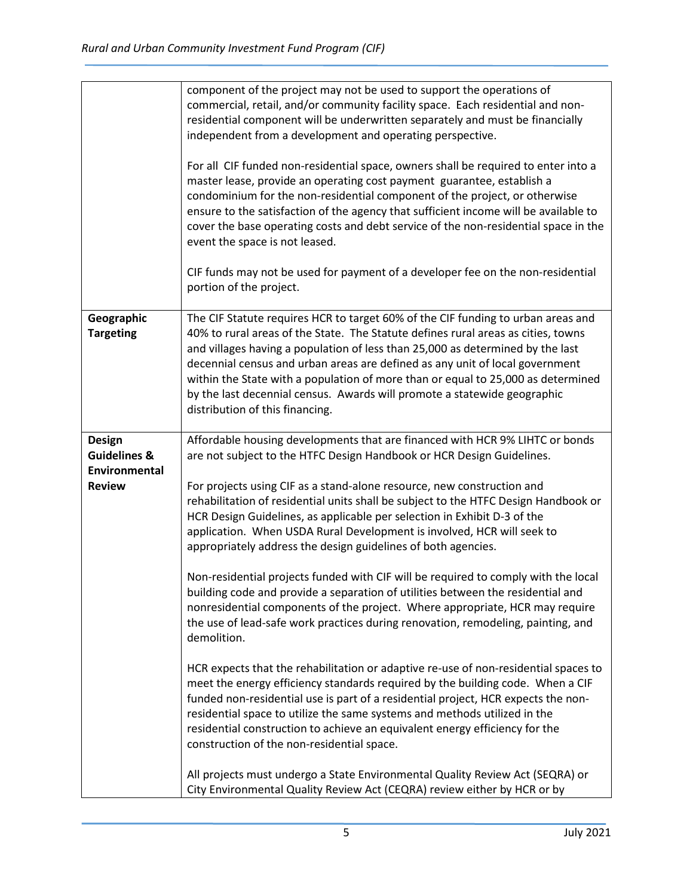|                                          | component of the project may not be used to support the operations of<br>commercial, retail, and/or community facility space. Each residential and non-<br>residential component will be underwritten separately and must be financially<br>independent from a development and operating perspective.<br>For all CIF funded non-residential space, owners shall be required to enter into a<br>master lease, provide an operating cost payment guarantee, establish a<br>condominium for the non-residential component of the project, or otherwise<br>ensure to the satisfaction of the agency that sufficient income will be available to<br>cover the base operating costs and debt service of the non-residential space in the<br>event the space is not leased.<br>CIF funds may not be used for payment of a developer fee on the non-residential<br>portion of the project. |
|------------------------------------------|------------------------------------------------------------------------------------------------------------------------------------------------------------------------------------------------------------------------------------------------------------------------------------------------------------------------------------------------------------------------------------------------------------------------------------------------------------------------------------------------------------------------------------------------------------------------------------------------------------------------------------------------------------------------------------------------------------------------------------------------------------------------------------------------------------------------------------------------------------------------------------|
| Geographic                               | The CIF Statute requires HCR to target 60% of the CIF funding to urban areas and                                                                                                                                                                                                                                                                                                                                                                                                                                                                                                                                                                                                                                                                                                                                                                                                   |
| <b>Targeting</b>                         | 40% to rural areas of the State. The Statute defines rural areas as cities, towns<br>and villages having a population of less than 25,000 as determined by the last                                                                                                                                                                                                                                                                                                                                                                                                                                                                                                                                                                                                                                                                                                                |
|                                          | decennial census and urban areas are defined as any unit of local government<br>within the State with a population of more than or equal to 25,000 as determined                                                                                                                                                                                                                                                                                                                                                                                                                                                                                                                                                                                                                                                                                                                   |
|                                          | by the last decennial census. Awards will promote a statewide geographic                                                                                                                                                                                                                                                                                                                                                                                                                                                                                                                                                                                                                                                                                                                                                                                                           |
|                                          | distribution of this financing.                                                                                                                                                                                                                                                                                                                                                                                                                                                                                                                                                                                                                                                                                                                                                                                                                                                    |
| <b>Design</b>                            | Affordable housing developments that are financed with HCR 9% LIHTC or bonds                                                                                                                                                                                                                                                                                                                                                                                                                                                                                                                                                                                                                                                                                                                                                                                                       |
| <b>Guidelines &amp;</b><br>Environmental | are not subject to the HTFC Design Handbook or HCR Design Guidelines.                                                                                                                                                                                                                                                                                                                                                                                                                                                                                                                                                                                                                                                                                                                                                                                                              |
| <b>Review</b>                            | For projects using CIF as a stand-alone resource, new construction and<br>rehabilitation of residential units shall be subject to the HTFC Design Handbook or<br>HCR Design Guidelines, as applicable per selection in Exhibit D-3 of the<br>application. When USDA Rural Development is involved, HCR will seek to<br>appropriately address the design guidelines of both agencies.                                                                                                                                                                                                                                                                                                                                                                                                                                                                                               |
|                                          | Non-residential projects funded with CIF will be required to comply with the local<br>building code and provide a separation of utilities between the residential and<br>nonresidential components of the project. Where appropriate, HCR may require<br>the use of lead-safe work practices during renovation, remodeling, painting, and<br>demolition.                                                                                                                                                                                                                                                                                                                                                                                                                                                                                                                           |
|                                          | HCR expects that the rehabilitation or adaptive re-use of non-residential spaces to<br>meet the energy efficiency standards required by the building code. When a CIF<br>funded non-residential use is part of a residential project, HCR expects the non-<br>residential space to utilize the same systems and methods utilized in the<br>residential construction to achieve an equivalent energy efficiency for the<br>construction of the non-residential space.                                                                                                                                                                                                                                                                                                                                                                                                               |
|                                          | All projects must undergo a State Environmental Quality Review Act (SEQRA) or<br>City Environmental Quality Review Act (CEQRA) review either by HCR or by                                                                                                                                                                                                                                                                                                                                                                                                                                                                                                                                                                                                                                                                                                                          |